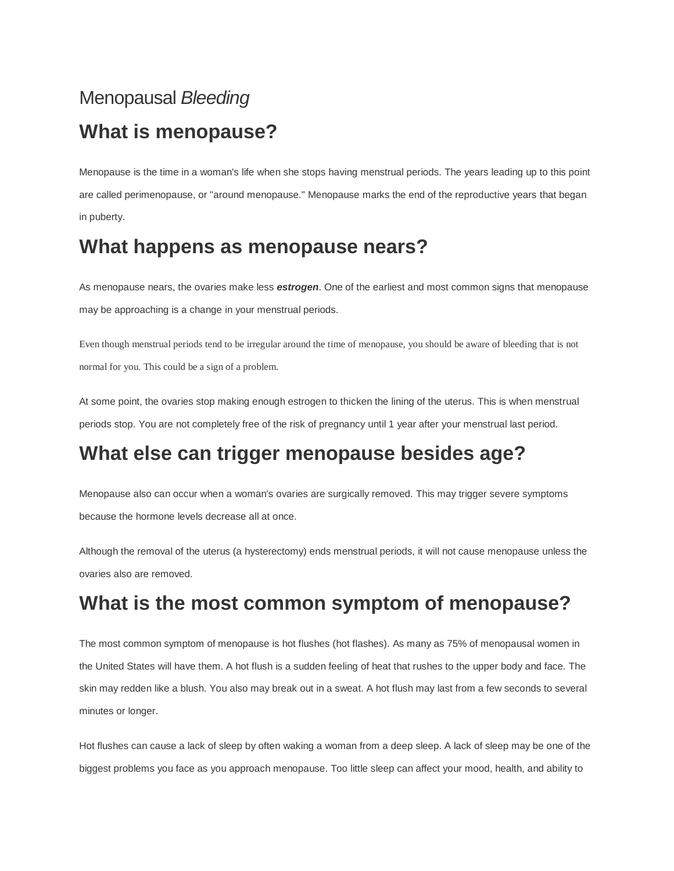# Menopausal *Bleeding*  **What is menopause?**

Menopause is the time in a woman's life when she stops having menstrual periods. The years leading up to this point are called perimenopause, or "around menopause." Menopause marks the end of the reproductive years that began in puberty.

#### **What happens as menopause nears?**

As menopause nears, the ovaries make less *estrogen*. One of the earliest and most common signs that menopause may be approaching is a change in your menstrual periods.

Even though menstrual periods tend to be irregular around the time of menopause, you should be aware of bleeding that is not normal for you. This could be a sign of a problem.

At some point, the ovaries stop making enough estrogen to thicken the lining of the uterus. This is when menstrual periods stop. You are not completely free of the risk of pregnancy until 1 year after your menstrual last period.

# **What else can trigger menopause besides age?**

Menopause also can occur when a woman's ovaries are surgically removed. This may trigger severe symptoms because the hormone levels decrease all at once.

Although the removal of the uterus (a hysterectomy) ends menstrual periods, it will not cause menopause unless the ovaries also are removed.

### **What is the most common symptom of menopause?**

The most common symptom of menopause is hot flushes (hot flashes). As many as 75% of menopausal women in the United States will have them. A hot flush is a sudden feeling of heat that rushes to the upper body and face. The skin may redden like a blush. You also may break out in a sweat. A hot flush may last from a few seconds to several minutes or longer.

Hot flushes can cause a lack of sleep by often waking a woman from a deep sleep. A lack of sleep may be one of the biggest problems you face as you approach menopause. Too little sleep can affect your mood, health, and ability to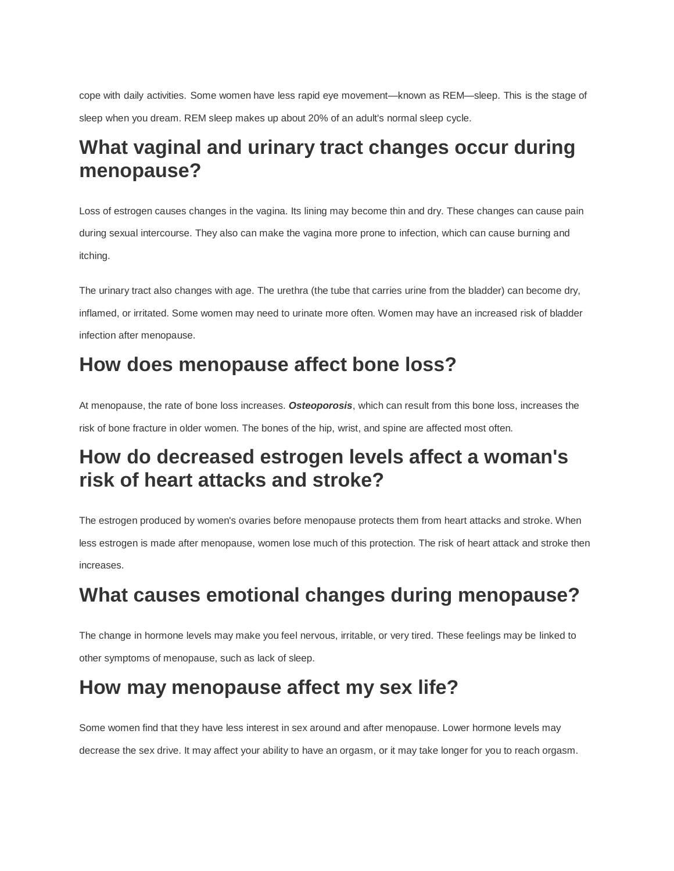cope with daily activities. Some women have less rapid eye movement—known as REM—sleep. This is the stage of sleep when you dream. REM sleep makes up about 20% of an adult's normal sleep cycle.

### **What vaginal and urinary tract changes occur during menopause?**

Loss of estrogen causes changes in the vagina. Its lining may become thin and dry. These changes can cause pain during sexual intercourse. They also can make the vagina more prone to infection, which can cause burning and itching.

The urinary tract also changes with age. The urethra (the tube that carries urine from the bladder) can become dry, inflamed, or irritated. Some women may need to urinate more often. Women may have an increased risk of bladder infection after menopause.

# **How does menopause affect bone loss?**

At menopause, the rate of bone loss increases. *Osteoporosis*, which can result from this bone loss, increases the risk of bone fracture in older women. The bones of the hip, wrist, and spine are affected most often.

# **How do decreased estrogen levels affect a woman's risk of heart attacks and stroke?**

The estrogen produced by women's ovaries before menopause protects them from heart attacks and stroke. When less estrogen is made after menopause, women lose much of this protection. The risk of heart attack and stroke then increases.

# **What causes emotional changes during menopause?**

The change in hormone levels may make you feel nervous, irritable, or very tired. These feelings may be linked to other symptoms of menopause, such as lack of sleep.

# **How may menopause affect my sex life?**

Some women find that they have less interest in sex around and after menopause. Lower hormone levels may decrease the sex drive. It may affect your ability to have an orgasm, or it may take longer for you to reach orgasm.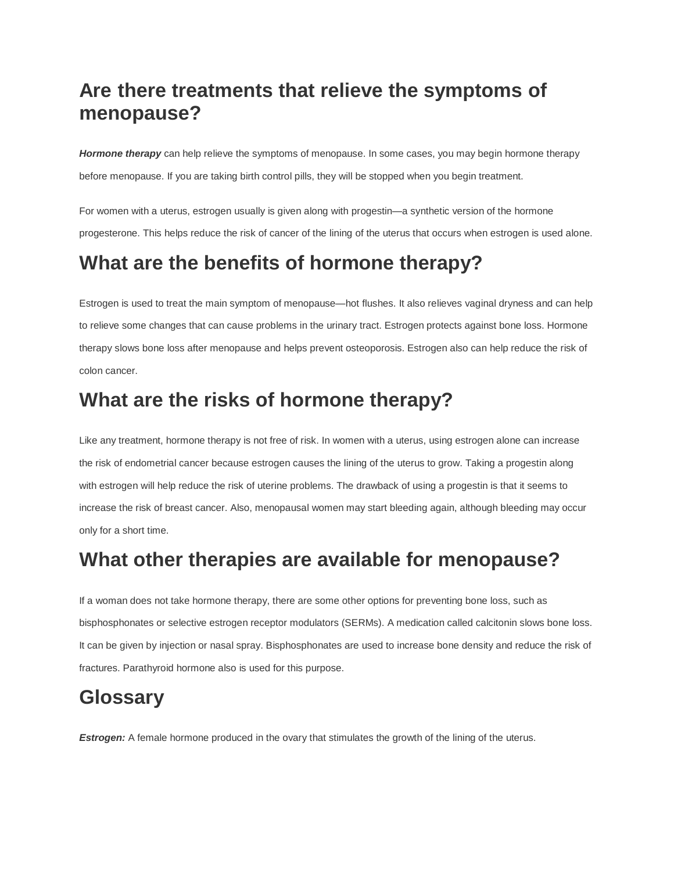## **Are there treatments that relieve the symptoms of menopause?**

*Hormone therapy* can help relieve the symptoms of menopause. In some cases, you may begin hormone therapy before menopause. If you are taking birth control pills, they will be stopped when you begin treatment.

For women with a uterus, estrogen usually is given along with progestin—a synthetic version of the hormone progesterone. This helps reduce the risk of cancer of the lining of the uterus that occurs when estrogen is used alone.

# **What are the benefits of hormone therapy?**

Estrogen is used to treat the main symptom of menopause—hot flushes. It also relieves vaginal dryness and can help to relieve some changes that can cause problems in the urinary tract. Estrogen protects against bone loss. Hormone therapy slows bone loss after menopause and helps prevent osteoporosis. Estrogen also can help reduce the risk of colon cancer.

# **What are the risks of hormone therapy?**

Like any treatment, hormone therapy is not free of risk. In women with a uterus, using estrogen alone can increase the risk of endometrial cancer because estrogen causes the lining of the uterus to grow. Taking a progestin along with estrogen will help reduce the risk of uterine problems. The drawback of using a progestin is that it seems to increase the risk of breast cancer. Also, menopausal women may start bleeding again, although bleeding may occur only for a short time.

### **What other therapies are available for menopause?**

If a woman does not take hormone therapy, there are some other options for preventing bone loss, such as bisphosphonates or selective estrogen receptor modulators (SERMs). A medication called calcitonin slows bone loss. It can be given by injection or nasal spray. Bisphosphonates are used to increase bone density and reduce the risk of fractures. Parathyroid hormone also is used for this purpose.

### **Glossary**

**Estrogen:** A female hormone produced in the ovary that stimulates the growth of the lining of the uterus.